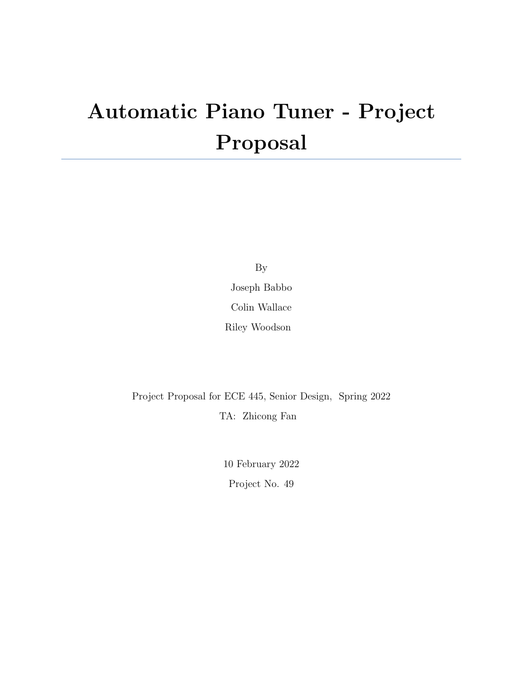# Automatic Piano Tuner - Project Proposal

By

Joseph Babbo Colin Wallace

Riley Woodson

Project Proposal for ECE 445, Senior Design, Spring 2022 TA: Zhicong Fan

> 10 February 2022 Project No. 49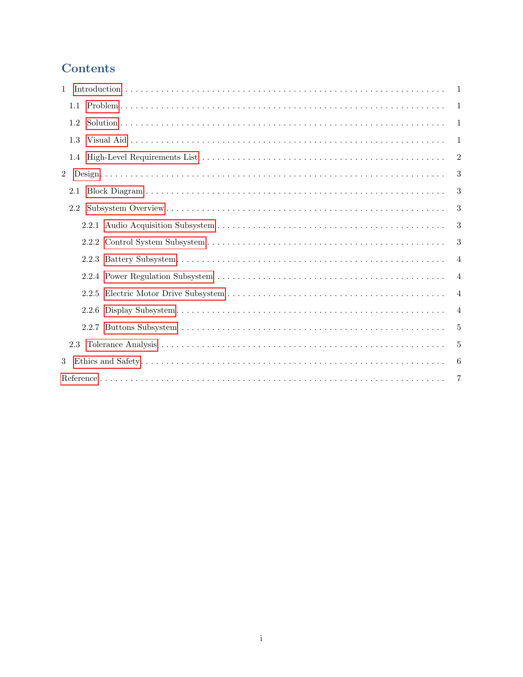# Contents

| 1.             | 1              |
|----------------|----------------|
|                | -1             |
| 1.2            | -1             |
| 1.3            | 1              |
|                | $\overline{2}$ |
| $\overline{2}$ | 3              |
| 2.1            | 3              |
| $2.2^{\circ}$  | 3              |
|                | 3              |
|                | 3              |
|                | 4              |
|                | 4              |
|                | $\overline{4}$ |
|                | $\overline{4}$ |
|                | 5              |
|                | 5              |
| 3              | 6              |
|                | 7              |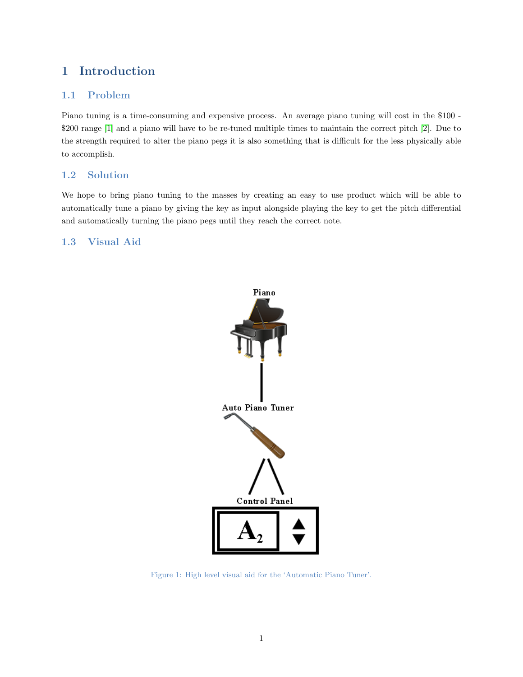# <span id="page-2-0"></span>1 Introduction

### <span id="page-2-1"></span>1.1 Problem

Piano tuning is a time-consuming and expensive process. An average piano tuning will cost in the \$100 - \$200 range [\[1\]](#page-8-0) and a piano will have to be re-tuned multiple times to maintain the correct pitch [\[2\]](#page-8-1). Due to the strength required to alter the piano pegs it is also something that is difficult for the less physically able to accomplish.

## <span id="page-2-2"></span>1.2 Solution

We hope to bring piano tuning to the masses by creating an easy to use product which will be able to automatically tune a piano by giving the key as input alongside playing the key to get the pitch differential and automatically turning the piano pegs until they reach the correct note.

## <span id="page-2-3"></span>1.3 Visual Aid



Figure 1: High level visual aid for the 'Automatic Piano Tuner'.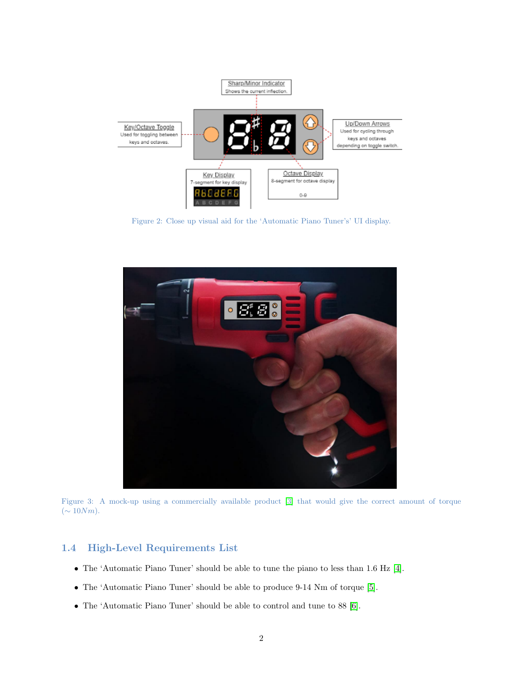

Figure 2: Close up visual aid for the 'Automatic Piano Tuner's' UI display.



Figure 3: A mock-up using a commercially available product [\[3\]](#page-8-2) that would give the correct amount of torque  $(\sim 10Nm).$ 

#### <span id="page-3-0"></span>1.4 High-Level Requirements List

- The 'Automatic Piano Tuner' should be able to tune the piano to less than 1.6 Hz [\[4\]](#page-8-3).
- The 'Automatic Piano Tuner' should be able to produce 9-14 Nm of torque [\[5\]](#page-8-4).
- The 'Automatic Piano Tuner' should be able to control and tune to 88 [\[6\]](#page-8-5).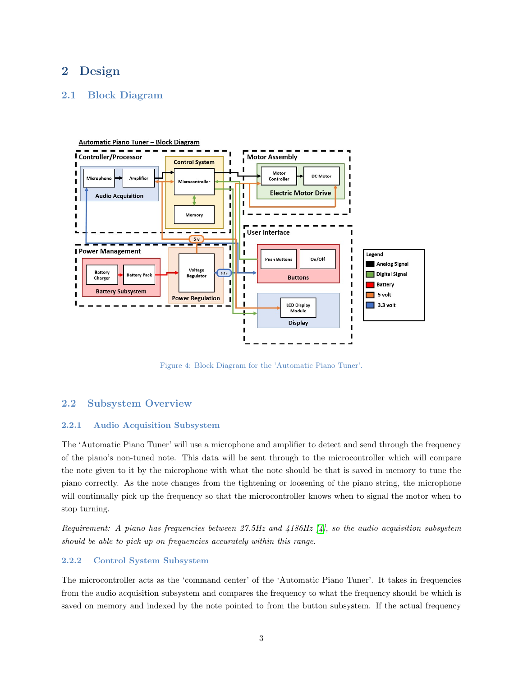# <span id="page-4-0"></span>2 Design

#### <span id="page-4-1"></span>2.1 Block Diagram



Figure 4: Block Diagram for the 'Automatic Piano Tuner'.

#### <span id="page-4-2"></span>2.2 Subsystem Overview

#### <span id="page-4-3"></span>2.2.1 Audio Acquisition Subsystem

The 'Automatic Piano Tuner' will use a microphone and amplifier to detect and send through the frequency of the piano's non-tuned note. This data will be sent through to the microcontroller which will compare the note given to it by the microphone with what the note should be that is saved in memory to tune the piano correctly. As the note changes from the tightening or loosening of the piano string, the microphone will continually pick up the frequency so that the microcontroller knows when to signal the motor when to stop turning.

Requirement: A piano has frequencies between 27.5Hz and  $4186Hz$  [\[4\]](#page-8-3), so the audio acquisition subsystem should be able to pick up on frequencies accurately within this range.

#### <span id="page-4-4"></span>2.2.2 Control System Subsystem

The microcontroller acts as the 'command center' of the 'Automatic Piano Tuner'. It takes in frequencies from the audio acquisition subsystem and compares the frequency to what the frequency should be which is saved on memory and indexed by the note pointed to from the button subsystem. If the actual frequency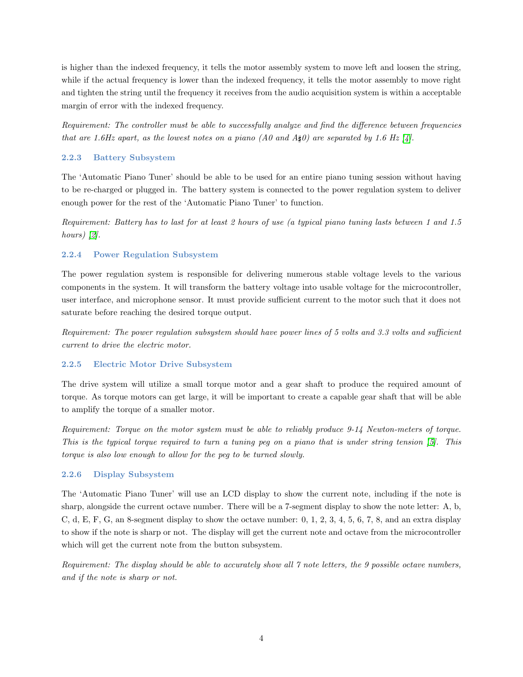is higher than the indexed frequency, it tells the motor assembly system to move left and loosen the string, while if the actual frequency is lower than the indexed frequency, it tells the motor assembly to move right and tighten the string until the frequency it receives from the audio acquisition system is within a acceptable margin of error with the indexed frequency.

Requirement: The controller must be able to successfully analyze and find the difference between frequencies that are 1.6Hz apart, as the lowest notes on a piano (A0 and  $A\sharp 0$ ) are separated by 1.6 Hz [\[4\]](#page-8-3).

#### <span id="page-5-0"></span>2.2.3 Battery Subsystem

The 'Automatic Piano Tuner' should be able to be used for an entire piano tuning session without having to be re-charged or plugged in. The battery system is connected to the power regulation system to deliver enough power for the rest of the 'Automatic Piano Tuner' to function.

Requirement: Battery has to last for at least 2 hours of use (a typical piano tuning lasts between 1 and 1.5 hours)  $[2]$ .

#### <span id="page-5-1"></span>2.2.4 Power Regulation Subsystem

The power regulation system is responsible for delivering numerous stable voltage levels to the various components in the system. It will transform the battery voltage into usable voltage for the microcontroller, user interface, and microphone sensor. It must provide sufficient current to the motor such that it does not saturate before reaching the desired torque output.

Requirement: The power regulation subsystem should have power lines of 5 volts and 3.3 volts and sufficient current to drive the electric motor.

#### <span id="page-5-2"></span>2.2.5 Electric Motor Drive Subsystem

The drive system will utilize a small torque motor and a gear shaft to produce the required amount of torque. As torque motors can get large, it will be important to create a capable gear shaft that will be able to amplify the torque of a smaller motor.

Requirement: Torque on the motor system must be able to reliably produce 9-14 Newton-meters of torque. This is the typical torque required to turn a tuning peg on a piano that is under string tension [\[5\]](#page-8-4). This torque is also low enough to allow for the peg to be turned slowly.

#### <span id="page-5-3"></span>2.2.6 Display Subsystem

The 'Automatic Piano Tuner' will use an LCD display to show the current note, including if the note is sharp, alongside the current octave number. There will be a 7-segment display to show the note letter: A, b, C, d, E, F, G, an 8-segment display to show the octave number: 0, 1, 2, 3, 4, 5, 6, 7, 8, and an extra display to show if the note is sharp or not. The display will get the current note and octave from the microcontroller which will get the current note from the button subsystem.

<span id="page-5-4"></span>Requirement: The display should be able to accurately show all 7 note letters, the 9 possible octave numbers, and if the note is sharp or not.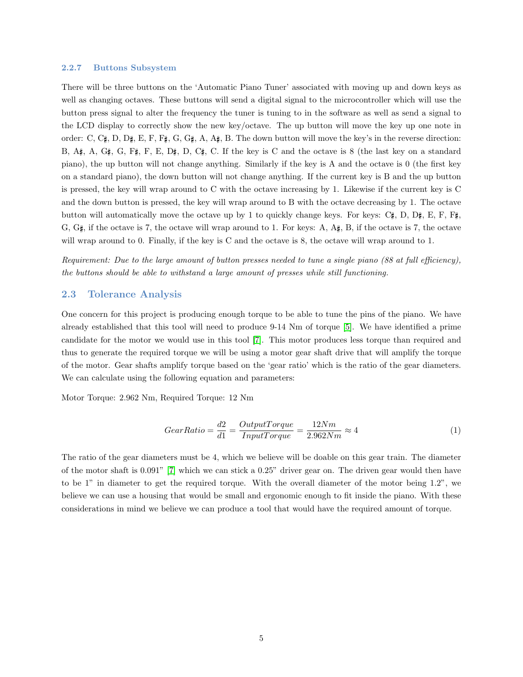#### 2.2.7 Buttons Subsystem

There will be three buttons on the 'Automatic Piano Tuner' associated with moving up and down keys as well as changing octaves. These buttons will send a digital signal to the microcontroller which will use the button press signal to alter the frequency the tuner is tuning to in the software as well as send a signal to the LCD display to correctly show the new key/octave. The up button will move the key up one note in order: C, C $\sharp$ , D, D $\sharp$ , E, F, F $\sharp$ , G, G $\sharp$ , A, A $\sharp$ , B. The down button will move the key's in the reverse direction: B, A $\sharp$ , A, G $\sharp$ , G, F $\sharp$ , F, E, D $\sharp$ , D, C $\sharp$ , C. If the key is C and the octave is 8 (the last key on a standard piano), the up button will not change anything. Similarly if the key is A and the octave is 0 (the first key on a standard piano), the down button will not change anything. If the current key is B and the up button is pressed, the key will wrap around to C with the octave increasing by 1. Likewise if the current key is C and the down button is pressed, the key will wrap around to B with the octave decreasing by 1. The octave button will automatically move the octave up by 1 to quickly change keys. For keys: C $\,\,\sharp$ , D, D $\,\,\sharp$ , E, F, F $\,\sharp$ , G,  $G\sharp$ , if the octave is 7, the octave will wrap around to 1. For keys: A,  $A\sharp$ , B, if the octave is 7, the octave will wrap around to 0. Finally, if the key is C and the octave is 8, the octave will wrap around to 1.

Requirement: Due to the large amount of button presses needed to tune a single piano (88 at full efficiency), the buttons should be able to withstand a large amount of presses while still functioning.

#### <span id="page-6-0"></span>2.3 Tolerance Analysis

One concern for this project is producing enough torque to be able to tune the pins of the piano. We have already established that this tool will need to produce 9-14 Nm of torque [\[5\]](#page-8-4). We have identified a prime candidate for the motor we would use in this tool [\[7\]](#page-8-6). This motor produces less torque than required and thus to generate the required torque we will be using a motor gear shaft drive that will amplify the torque of the motor. Gear shafts amplify torque based on the 'gear ratio' which is the ratio of the gear diameters. We can calculate using the following equation and parameters:

Motor Torque: 2.962 Nm, Required Torque: 12 Nm

$$
GearRatio = \frac{d2}{d1} = \frac{OutputTorque}{InputTorque} = \frac{12Nm}{2.962Nm} \approx 4
$$
\n(1)

The ratio of the gear diameters must be 4, which we believe will be doable on this gear train. The diameter of the motor shaft is 0.091" [\[7\]](#page-8-6) which we can stick a 0.25" driver gear on. The driven gear would then have to be 1" in diameter to get the required torque. With the overall diameter of the motor being 1.2", we believe we can use a housing that would be small and ergonomic enough to fit inside the piano. With these considerations in mind we believe we can produce a tool that would have the required amount of torque.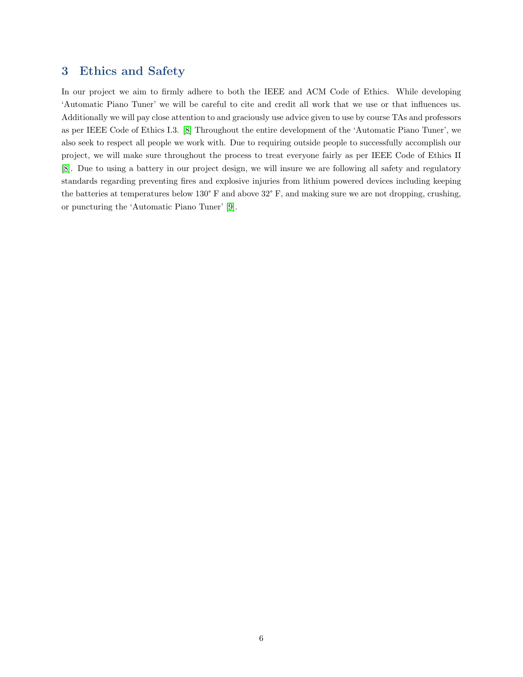# <span id="page-7-0"></span>3 Ethics and Safety

In our project we aim to firmly adhere to both the IEEE and ACM Code of Ethics. While developing 'Automatic Piano Tuner' we will be careful to cite and credit all work that we use or that influences us. Additionally we will pay close attention to and graciously use advice given to use by course TAs and professors as per IEEE Code of Ethics I.3. [\[8\]](#page-8-7) Throughout the entire development of the 'Automatic Piano Tuner', we also seek to respect all people we work with. Due to requiring outside people to successfully accomplish our project, we will make sure throughout the process to treat everyone fairly as per IEEE Code of Ethics II [\[8\]](#page-8-7). Due to using a battery in our project design, we will insure we are following all safety and regulatory standards regarding preventing fires and explosive injuries from lithium powered devices including keeping the batteries at temperatures below 130° F and above 32° F, and making sure we are not dropping, crushing, or puncturing the 'Automatic Piano Tuner' [\[9\]](#page-8-8).